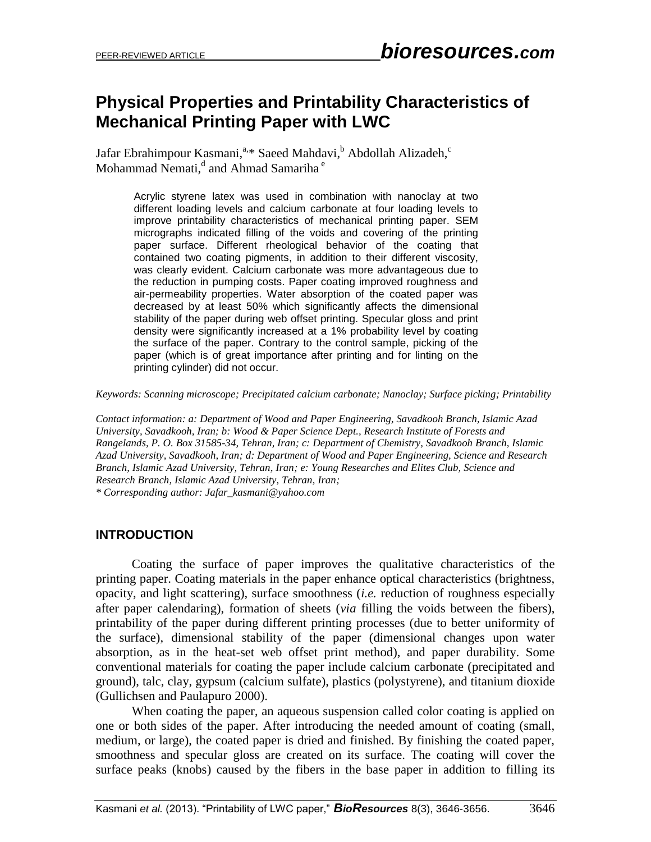# **Physical Properties and Printability Characteristics of Mechanical Printing Paper with LWC**

Jafar Ebrahimpour Kasmani,<sup>a,\*</sup> Saeed Mahdavi,<sup>b</sup> Abdollah Alizadeh,<sup>c</sup> Mohammad Nemati,<sup>d</sup> and Ahmad Samariha<sup>e</sup>

> Acrylic styrene latex was used in combination with nanoclay at two different loading levels and calcium carbonate at four loading levels to improve printability characteristics of mechanical printing paper. SEM micrographs indicated filling of the voids and covering of the printing paper surface. Different rheological behavior of the coating that contained two coating pigments, in addition to their different viscosity, was clearly evident. Calcium carbonate was more advantageous due to the reduction in pumping costs. Paper coating improved roughness and air-permeability properties. Water absorption of the coated paper was decreased by at least 50% which significantly affects the dimensional stability of the paper during web offset printing. Specular gloss and print density were significantly increased at a 1% probability level by coating the surface of the paper. Contrary to the control sample, picking of the paper (which is of great importance after printing and for linting on the printing cylinder) did not occur.

*Keywords: Scanning microscope; Precipitated calcium carbonate; Nanoclay; Surface picking; Printability*

*Contact information: a: Department of Wood and Paper Engineering, Savadkooh Branch, Islamic Azad University, Savadkooh, Iran; b: Wood & Paper Science Dept., Research Institute of Forests and Rangelands, P. O. Box 31585-34, Tehran, Iran; c: Department of Chemistry, Savadkooh Branch, Islamic Azad University, Savadkooh, Iran; d: Department of Wood and Paper Engineering, Science and Research Branch, Islamic Azad University, Tehran, Iran; e: Young Researches and Elites Club, Science and Research Branch, Islamic Azad University, Tehran, Iran; \* Corresponding author: Jafar\_kasmani@yahoo.com*

# **INTRODUCTION**

Coating the surface of paper improves the qualitative characteristics of the printing paper. Coating materials in the paper enhance optical characteristics (brightness, opacity, and light scattering), surface smoothness (*i.e.* reduction of roughness especially after paper calendaring), formation of sheets (*via* filling the voids between the fibers), printability of the paper during different printing processes (due to better uniformity of the surface), dimensional stability of the paper (dimensional changes upon water absorption, as in the heat-set web offset print method), and paper durability. Some conventional materials for coating the paper include calcium carbonate (precipitated and ground), talc, clay, gypsum (calcium sulfate), plastics (polystyrene), and titanium dioxide (Gullichsen and Paulapuro 2000).

When coating the paper, an aqueous suspension called color coating is applied on one or both sides of the paper. After introducing the needed amount of coating (small, medium, or large), the coated paper is dried and finished. By finishing the coated paper, smoothness and specular gloss are created on its surface. The coating will cover the surface peaks (knobs) caused by the fibers in the base paper in addition to filling its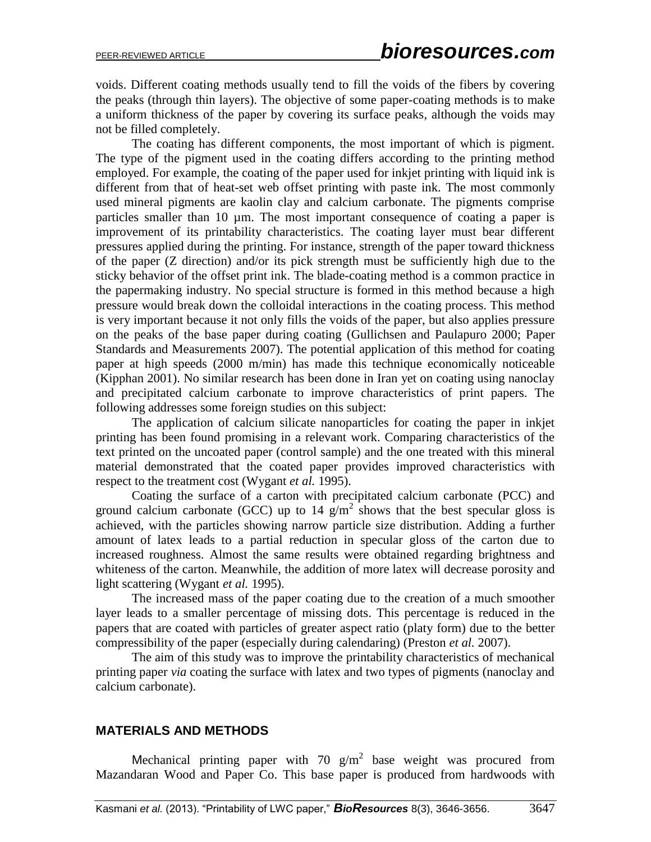voids. Different coating methods usually tend to fill the voids of the fibers by covering the peaks (through thin layers). The objective of some paper-coating methods is to make a uniform thickness of the paper by covering its surface peaks, although the voids may not be filled completely.

The coating has different components, the most important of which is pigment. The type of the pigment used in the coating differs according to the printing method employed. For example, the coating of the paper used for inkjet printing with liquid ink is different from that of heat-set web offset printing with paste ink. The most commonly used mineral pigments are kaolin clay and calcium carbonate. The pigments comprise particles smaller than 10 µm. The most important consequence of coating a paper is improvement of its printability characteristics. The coating layer must bear different pressures applied during the printing. For instance, strength of the paper toward thickness of the paper (Z direction) and/or its pick strength must be sufficiently high due to the sticky behavior of the offset print ink. The blade-coating method is a common practice in the papermaking industry. No special structure is formed in this method because a high pressure would break down the colloidal interactions in the coating process. This method is very important because it not only fills the voids of the paper, but also applies pressure on the peaks of the base paper during coating (Gullichsen and Paulapuro 2000; Paper Standards and Measurements 2007). The potential application of this method for coating paper at high speeds (2000 m/min) has made this technique economically noticeable (Kipphan 2001). No similar research has been done in Iran yet on coating using nanoclay and precipitated calcium carbonate to improve characteristics of print papers. The following addresses some foreign studies on this subject:

The application of calcium silicate nanoparticles for coating the paper in inkjet printing has been found promising in a relevant work. Comparing characteristics of the text printed on the uncoated paper (control sample) and the one treated with this mineral material demonstrated that the coated paper provides improved characteristics with respect to the treatment cost (Wygant *et al.* 1995).

Coating the surface of a carton with precipitated calcium carbonate (PCC) and ground calcium carbonate (GCC) up to 14  $\frac{g}{m^2}$  shows that the best specular gloss is achieved, with the particles showing narrow particle size distribution. Adding a further amount of latex leads to a partial reduction in specular gloss of the carton due to increased roughness. Almost the same results were obtained regarding brightness and whiteness of the carton. Meanwhile, the addition of more latex will decrease porosity and light scattering (Wygant *et al.* 1995).

The increased mass of the paper coating due to the creation of a much smoother layer leads to a smaller percentage of missing dots. This percentage is reduced in the papers that are coated with particles of greater aspect ratio (platy form) due to the better compressibility of the paper (especially during calendaring) (Preston *et al.* 2007).

The aim of this study was to improve the printability characteristics of mechanical printing paper *via* coating the surface with latex and two types of pigments (nanoclay and calcium carbonate).

#### **MATERIALS AND METHODS**

Mechanical printing paper with 70  $g/m^2$  base weight was procured from Mazandaran Wood and Paper Co. This base paper is produced from hardwoods with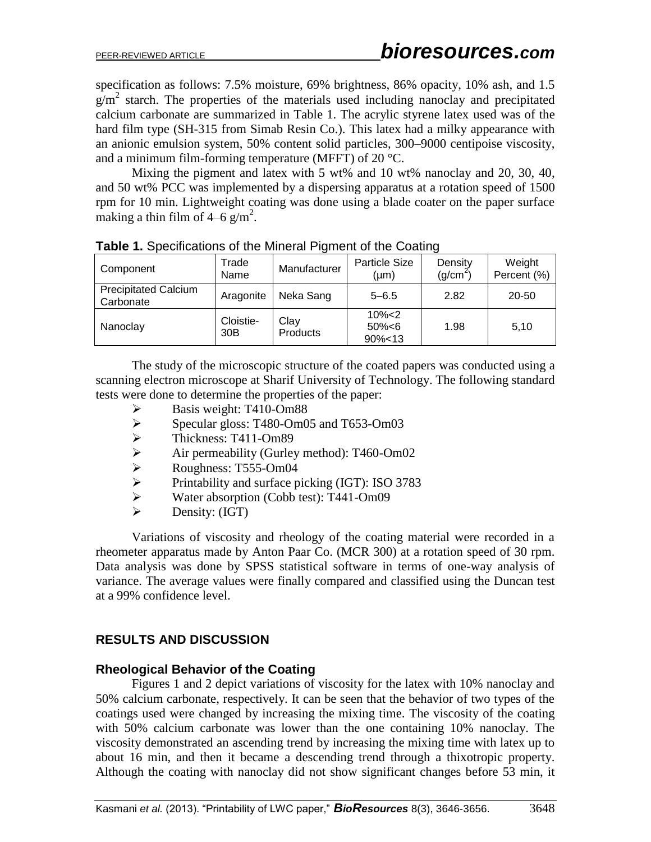specification as follows: 7.5% moisture, 69% brightness, 86% opacity, 10% ash, and 1.5  $g/m^2$  starch. The properties of the materials used including nanoclay and precipitated calcium carbonate are summarized in Table 1. The acrylic styrene latex used was of the hard film type (SH-315 from Simab Resin Co.). This latex had a milky appearance with an anionic emulsion system, 50% content solid particles, 300–9000 centipoise viscosity, and a minimum film-forming temperature (MFFT) of 20 °C.

Mixing the pigment and latex with 5 wt% and 10 wt% nanoclay and 20, 30, 40, and 50 wt% PCC was implemented by a dispersing apparatus at a rotation speed of 1500 rpm for 10 min. Lightweight coating was done using a blade coater on the paper surface making a thin film of  $4-6$  g/m<sup>2</sup>.

| Component                                | Trade<br>Name    | Manufacturer     | <b>Particle Size</b><br>$(\mu m)$       | Density<br>(g/cm <sup>2</sup> ) | Weight<br>Percent (%) |  |  |  |  |  |  |
|------------------------------------------|------------------|------------------|-----------------------------------------|---------------------------------|-----------------------|--|--|--|--|--|--|
| <b>Precipitated Calcium</b><br>Carbonate | Aragonite        | Neka Sang        | $5 - 6.5$                               | 2.82                            | 20-50                 |  |  |  |  |  |  |
| Nanoclay                                 | Cloistie-<br>30B | Clay<br>Products | $10\% < 2$<br>$50\% < 6$<br>$90\% < 13$ | 1.98                            | 5,10                  |  |  |  |  |  |  |

**Table 1.** Specifications of the Mineral Pigment of the Coating

The study of the microscopic structure of the coated papers was conducted using a scanning electron microscope at Sharif University of Technology. The following standard tests were done to determine the properties of the paper:

- $\blacktriangleright$  Basis weight: T410-Om88
- 
- Thickness: T411-Om89
- Air permeability (Gurley method): T460-Om02
- Roughness: T555-Om04
- Specular gloss: T480-Om05 and T653-Om03<br>
Superintends: T411-Om89<br>
Superintends and T653-Om03<br>
Superintends and T460-Om04<br>
Superintends: T555-Om04<br>
Superintends and Superintends and Superintends and Superintends<br>
Superinten Printability and surface picking (IGT): ISO 3783
- Water absorption (Cobb test):  $\overline{T}$ 441-Om09
- Density: (IGT)

Variations of viscosity and rheology of the coating material were recorded in a rheometer apparatus made by Anton Paar Co. (MCR 300) at a rotation speed of 30 rpm. Data analysis was done by SPSS statistical software in terms of one-way analysis of variance. The average values were finally compared and classified using the Duncan test at a 99% confidence level.

# **RESULTS AND DISCUSSION**

# **Rheological Behavior of the Coating**

Figures 1 and 2 depict variations of viscosity for the latex with 10% nanoclay and 50% calcium carbonate, respectively. It can be seen that the behavior of two types of the coatings used were changed by increasing the mixing time. The viscosity of the coating with 50% calcium carbonate was lower than the one containing 10% nanoclay. The viscosity demonstrated an ascending trend by increasing the mixing time with latex up to about 16 min, and then it became a descending trend through a thixotropic property. Although the coating with nanoclay did not show significant changes before 53 min, it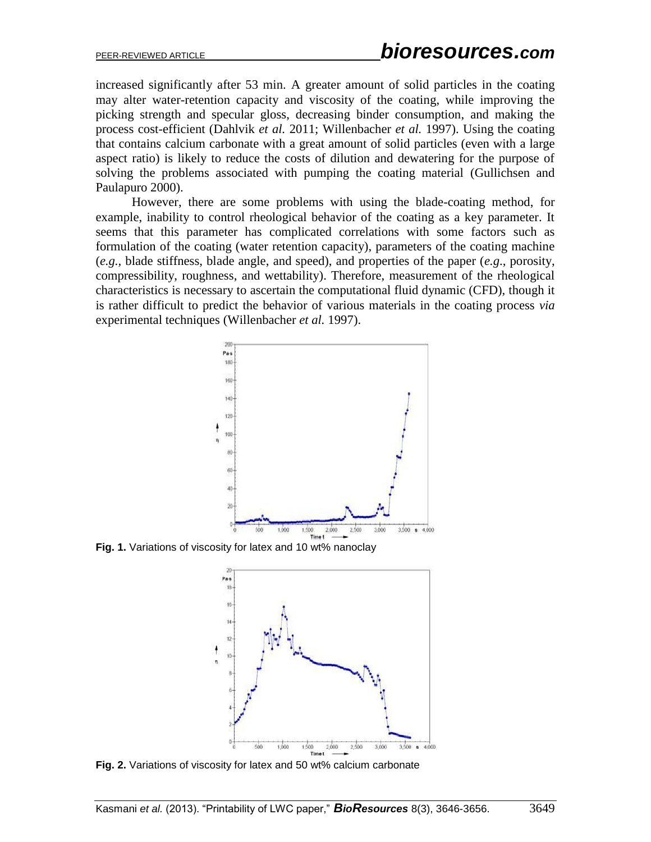increased significantly after 53 min. A greater amount of solid particles in the coating may alter water-retention capacity and viscosity of the coating, while improving the picking strength and specular gloss, decreasing binder consumption, and making the process cost-efficient (Dahlvik *et al.* 2011; Willenbacher *et al.* 1997). Using the coating that contains calcium carbonate with a great amount of solid particles (even with a large aspect ratio) is likely to reduce the costs of dilution and dewatering for the purpose of solving the problems associated with pumping the coating material (Gullichsen and Paulapuro 2000).

However, there are some problems with using the blade-coating method, for example, inability to control rheological behavior of the coating as a key parameter. It seems that this parameter has complicated correlations with some factors such as formulation of the coating (water retention capacity), parameters of the coating machine (*e.g.,* blade stiffness, blade angle, and speed), and properties of the paper (*e.g*., porosity, compressibility, roughness, and wettability). Therefore, measurement of the rheological characteristics is necessary to ascertain the computational fluid dynamic (CFD), though it is rather difficult to predict the behavior of various materials in the coating process *via* experimental techniques (Willenbacher *et al.* 1997).



**Fig. 1.** Variations of viscosity for latex and 10 wt% nanoclay



**Fig. 2.** Variations of viscosity for latex and 50 wt% calcium carbonate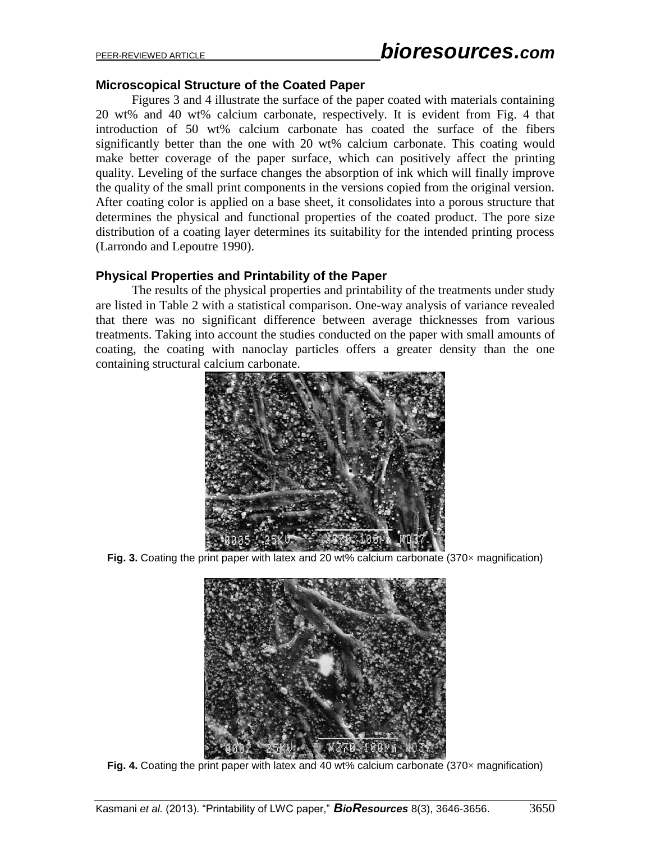#### **Microscopical Structure of the Coated Paper**

Figures 3 and 4 illustrate the surface of the paper coated with materials containing 20 wt% and 40 wt% calcium carbonate, respectively. It is evident from Fig. 4 that introduction of 50 wt% calcium carbonate has coated the surface of the fibers significantly better than the one with 20 wt% calcium carbonate. This coating would make better coverage of the paper surface, which can positively affect the printing quality. Leveling of the surface changes the absorption of ink which will finally improve the quality of the small print components in the versions copied from the original version. After coating color is applied on a base sheet, it consolidates into a porous structure that determines the physical and functional properties of the coated product. The pore size distribution of a coating layer determines its suitability for the intended printing process (Larrondo and Lepoutre 1990).

#### **Physical Properties and Printability of the Paper**

The results of the physical properties and printability of the treatments under study are listed in Table 2 with a statistical comparison. One-way analysis of variance revealed that there was no significant difference between average thicknesses from various treatments. Taking into account the studies conducted on the paper with small amounts of coating, the coating with nanoclay particles offers a greater density than the one containing structural calcium carbonate.



**Fig. 3.** Coating the print paper with latex and 20 wt% calcium carbonate (370 x magnification)



Fig. 4. Coating the print paper with latex and 40 wt% calcium carbonate (370× magnification)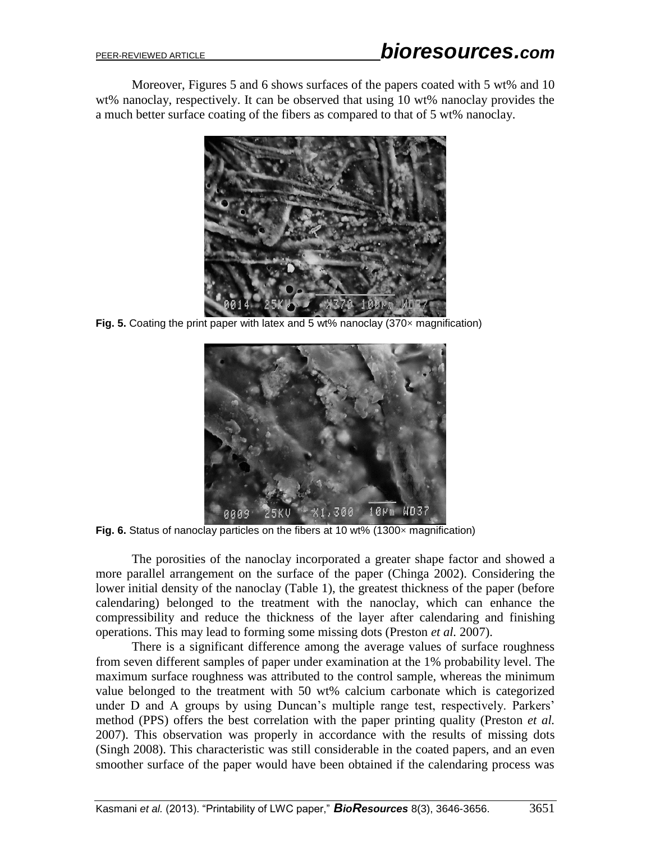Moreover, Figures 5 and 6 shows surfaces of the papers coated with 5 wt% and 10 wt% nanoclay, respectively. It can be observed that using 10 wt% nanoclay provides the a much better surface coating of the fibers as compared to that of 5 wt% nanoclay.



**Fig. 5.** Coating the print paper with latex and 5 wt% nanoclay  $(370 \times \text{magnification})$ 



Fig. 6. Status of nanoclay particles on the fibers at 10 wt% (1300× magnification)

The porosities of the nanoclay incorporated a greater shape factor and showed a more parallel arrangement on the surface of the paper (Chinga 2002). Considering the lower initial density of the nanoclay (Table 1), the greatest thickness of the paper (before calendaring) belonged to the treatment with the nanoclay, which can enhance the compressibility and reduce the thickness of the layer after calendaring and finishing operations. This may lead to forming some missing dots (Preston *et al.* 2007).

There is a significant difference among the average values of surface roughness from seven different samples of paper under examination at the 1% probability level. The maximum surface roughness was attributed to the control sample, whereas the minimum value belonged to the treatment with 50 wt% calcium carbonate which is categorized under D and A groups by using Duncan's multiple range test, respectively. Parkers' method (PPS) offers the best correlation with the paper printing quality (Preston *et al.* 2007). This observation was properly in accordance with the results of missing dots (Singh 2008). This characteristic was still considerable in the coated papers, and an even smoother surface of the paper would have been obtained if the calendaring process was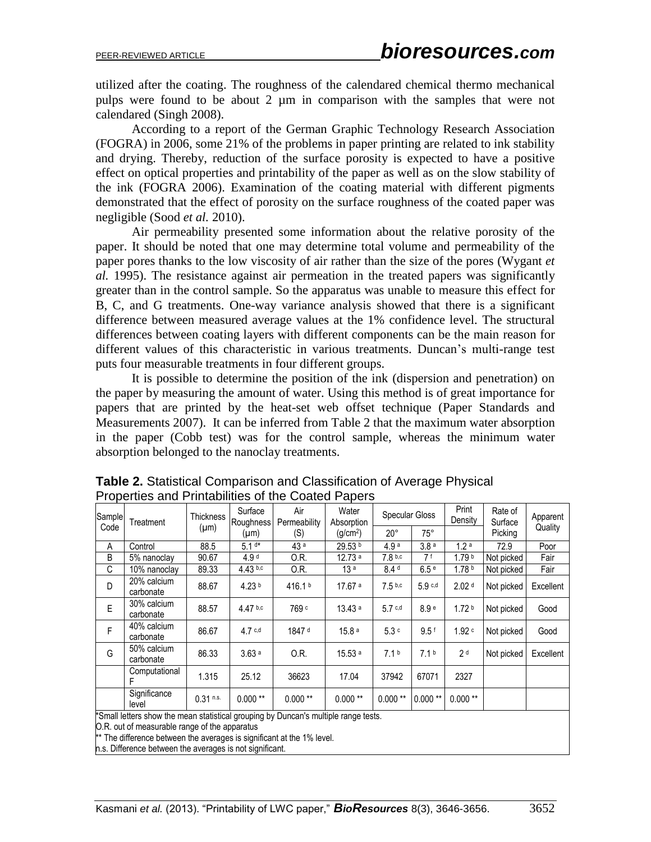utilized after the coating. The roughness of the calendared chemical thermo mechanical pulps were found to be about 2 µm in comparison with the samples that were not calendared (Singh 2008).

According to a report of the German Graphic Technology Research Association (FOGRA) in 2006, some 21% of the problems in paper printing are related to ink stability and drying. Thereby, reduction of the surface porosity is expected to have a positive effect on optical properties and printability of the paper as well as on the slow stability of the ink (FOGRA 2006). Examination of the coating material with different pigments demonstrated that the effect of porosity on the surface roughness of the coated paper was negligible (Sood *et al.* 2010).

Air permeability presented some information about the relative porosity of the paper. It should be noted that one may determine total volume and permeability of the paper pores thanks to the low viscosity of air rather than the size of the pores (Wygant *et al.* 1995). The resistance against air permeation in the treated papers was significantly greater than in the control sample. So the apparatus was unable to measure this effect for B, C, and G treatments. One-way variance analysis showed that there is a significant difference between measured average values at the 1% confidence level. The structural differences between coating layers with different components can be the main reason for different values of this characteristic in various treatments. Duncan's multi-range test puts four measurable treatments in four different groups.

It is possible to determine the position of the ink (dispersion and penetration) on the paper by measuring the amount of water. Using this method is of great importance for papers that are printed by the heat-set web offset technique (Paper Standards and Measurements 2007). It can be inferred from Table 2 that the maximum water absorption in the paper (Cobb test) was for the control sample, whereas the minimum water absorption belonged to the nanoclay treatments.

| Sample<br>Code | Treatment                | <b>Thickness</b><br>(µm) | Surface<br>Roughness<br>(µm) | Air<br>Permeability<br>(S) | Water<br>Absorption<br>(q/cm <sup>2</sup> ) | Specular Gloss<br>$20^{\circ}$ | $75^{\circ}$     | Print<br>Density  | Rate of<br>Surface<br>Picking | Apparent<br>Quality |
|----------------|--------------------------|--------------------------|------------------------------|----------------------------|---------------------------------------------|--------------------------------|------------------|-------------------|-------------------------------|---------------------|
| A              | Control                  | 88.5                     | $5.1d*$                      | 43 <sup>a</sup>            | 29.53 b                                     | 4.9a                           | 3.8 <sup>a</sup> | 1.2 <sup>a</sup>  | 72.9                          | Poor                |
| B              | 5% nanoclay              | 90.67                    | 4.9 <sup>d</sup>             | 0.R.                       | 12.73a                                      | 7.8 <sup>b,c</sup>             | 7 f              | 1.79 <sup>b</sup> | Not picked                    | Fair                |
| C              | 10% nanoclay             | 89.33                    | 4.43 b.c                     | 0.R.                       | 13a                                         | 8.4 <sup>d</sup>               | 6.5e             | 1.78 <sup>b</sup> | Not picked                    | Fair                |
| D              | 20% calcium<br>carbonate | 88.67                    | 4.23 <sup>b</sup>            | 416.1 $b$                  | 17.67a                                      | 7.5 <sup>b,c</sup>             | $5.9$ c,d        | 2.02 <sup>d</sup> | Not picked                    | Excellent           |
| E              | 30% calcium<br>carbonate | 88.57                    | 4.47 <sup>b,c</sup>          | 769 c                      | 13.43a                                      | $5.7$ c,d                      | 8.9e             | 1.72 <sup>b</sup> | Not picked                    | Good                |
| F              | 40% calcium<br>carbonate | 86.67                    | 4.7c,d                       | 1847 <sup>d</sup>          | 15.8 <sup>a</sup>                           | 5.3 <sup>c</sup>               | 9.5 <sup>f</sup> | 1.92c             | Not picked                    | Good                |
| G              | 50% calcium<br>carbonate | 86.33                    | 3.63 <sup>a</sup>            | 0.R.                       | 15.53 <sup>a</sup>                          | 7.1 <sup>b</sup>               | 7.1 <sup>b</sup> | 2 <sup>d</sup>    | Not picked                    | Excellent           |
|                | Computational<br>F       | 1.315                    | 25.12                        | 36623                      | 17.04                                       | 37942                          | 67071            | 2327              |                               |                     |
|                | Significance<br>level    | $0.31$ n.s.              | $0.000**$                    | $0.000**$                  | $0.000**$                                   | $0.000**$                      | $0.000**$        | $0.000**$         |                               |                     |

**Table 2.** Statistical Comparison and Classification of Average Physical Properties and Printabilities of the Coated Papers

\*Small letters show the mean statistical grouping by Duncan's multiple range tests.

O.R. out of measurable range of the apparatus

\*\* The difference between the averages is significant at the 1% level.

n.s. Difference between the averages is not significant.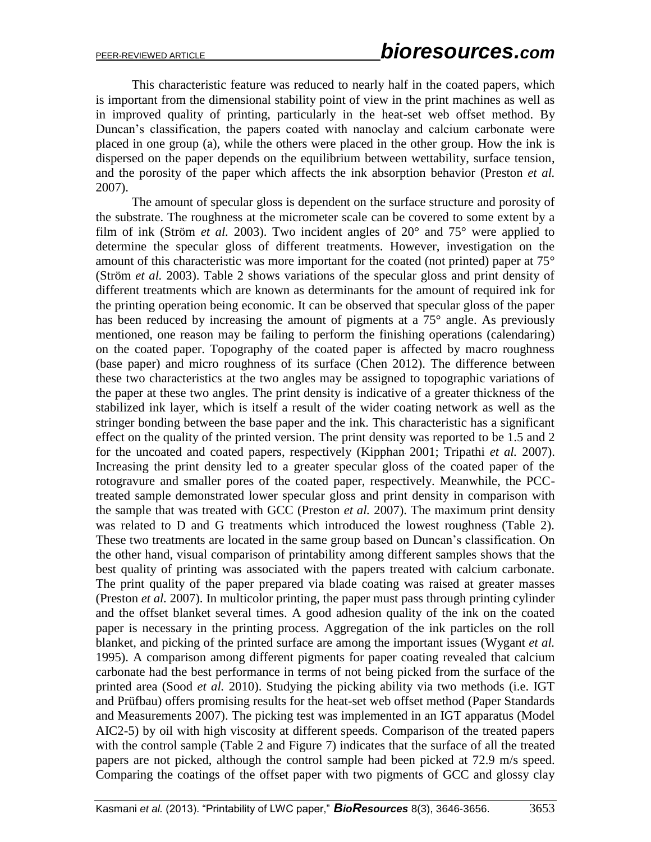This characteristic feature was reduced to nearly half in the coated papers, which is important from the dimensional stability point of view in the print machines as well as in improved quality of printing, particularly in the heat-set web offset method. By Duncan's classification, the papers coated with nanoclay and calcium carbonate were placed in one group (a), while the others were placed in the other group. How the ink is dispersed on the paper depends on the equilibrium between wettability, surface tension, and the porosity of the paper which affects the ink absorption behavior (Preston *et al.* 2007).

The amount of specular gloss is dependent on the surface structure and porosity of the substrate. The roughness at the micrometer scale can be covered to some extent by a film of ink (Ström *et al.* 2003). Two incident angles of  $20^{\circ}$  and  $75^{\circ}$  were applied to determine the specular gloss of different treatments. However, investigation on the amount of this characteristic was more important for the coated (not printed) paper at 75° (Ström *et al.* 2003). Table 2 shows variations of the specular gloss and print density of different treatments which are known as determinants for the amount of required ink for the printing operation being economic. It can be observed that specular gloss of the paper has been reduced by increasing the amount of pigments at a 75° angle. As previously mentioned, one reason may be failing to perform the finishing operations (calendaring) on the coated paper. Topography of the coated paper is affected by macro roughness (base paper) and micro roughness of its surface (Chen 2012). The difference between these two characteristics at the two angles may be assigned to topographic variations of the paper at these two angles. The print density is indicative of a greater thickness of the stabilized ink layer, which is itself a result of the wider coating network as well as the stringer bonding between the base paper and the ink. This characteristic has a significant effect on the quality of the printed version. The print density was reported to be 1.5 and 2 for the uncoated and coated papers, respectively (Kipphan 2001; Tripathi *et al.* 2007). Increasing the print density led to a greater specular gloss of the coated paper of the rotogravure and smaller pores of the coated paper, respectively. Meanwhile, the PCCtreated sample demonstrated lower specular gloss and print density in comparison with the sample that was treated with GCC (Preston *et al.* 2007). The maximum print density was related to D and G treatments which introduced the lowest roughness (Table 2). These two treatments are located in the same group based on Duncan's classification. On the other hand, visual comparison of printability among different samples shows that the best quality of printing was associated with the papers treated with calcium carbonate. The print quality of the paper prepared via blade coating was raised at greater masses (Preston *et al.* 2007). In multicolor printing, the paper must pass through printing cylinder and the offset blanket several times. A good adhesion quality of the ink on the coated paper is necessary in the printing process. Aggregation of the ink particles on the roll blanket, and picking of the printed surface are among the important issues (Wygant *et al.* 1995). A comparison among different pigments for paper coating revealed that calcium carbonate had the best performance in terms of not being picked from the surface of the printed area (Sood *et al.* 2010). Studying the picking ability via two methods (i.e. IGT and Prüfbau) offers promising results for the heat-set web offset method (Paper Standards and Measurements 2007). The picking test was implemented in an IGT apparatus (Model AIC2-5) by oil with high viscosity at different speeds. Comparison of the treated papers with the control sample (Table 2 and Figure 7) indicates that the surface of all the treated papers are not picked, although the control sample had been picked at 72.9 m/s speed. Comparing the coatings of the offset paper with two pigments of GCC and glossy clay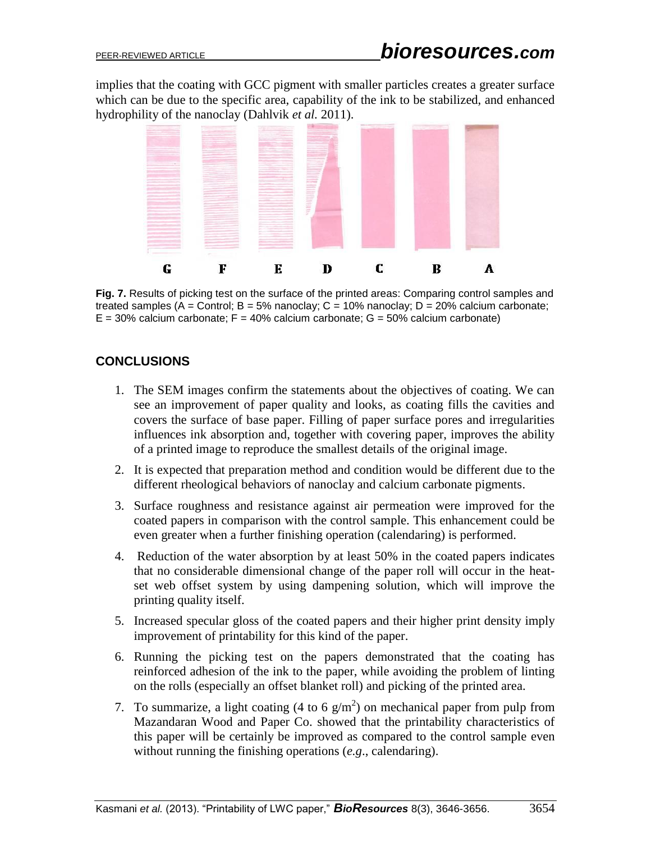implies that the coating with GCC pigment with smaller particles creates a greater surface which can be due to the specific area, capability of the ink to be stabilized, and enhanced hydrophility of the nanoclay (Dahlvik *et al.* 2011).



**Fig. 7.** Results of picking test on the surface of the printed areas: Comparing control samples and treated samples (A = Control;  $B = 5%$  nanoclay; C = 10% nanoclay; D = 20% calcium carbonate;  $E = 30\%$  calcium carbonate;  $F = 40\%$  calcium carbonate;  $G = 50\%$  calcium carbonate)

# **CONCLUSIONS**

- 1. The SEM images confirm the statements about the objectives of coating. We can see an improvement of paper quality and looks, as coating fills the cavities and covers the surface of base paper. Filling of paper surface pores and irregularities influences ink absorption and, together with covering paper, improves the ability of a printed image to reproduce the smallest details of the original image.
- 2. It is expected that preparation method and condition would be different due to the different rheological behaviors of nanoclay and calcium carbonate pigments.
- 3. Surface roughness and resistance against air permeation were improved for the coated papers in comparison with the control sample. This enhancement could be even greater when a further finishing operation (calendaring) is performed.
- 4. Reduction of the water absorption by at least 50% in the coated papers indicates that no considerable dimensional change of the paper roll will occur in the heatset web offset system by using dampening solution, which will improve the printing quality itself.
- 5. Increased specular gloss of the coated papers and their higher print density imply improvement of printability for this kind of the paper.
- 6. Running the picking test on the papers demonstrated that the coating has reinforced adhesion of the ink to the paper, while avoiding the problem of linting on the rolls (especially an offset blanket roll) and picking of the printed area.
- 7. To summarize, a light coating (4 to 6  $g/m<sup>2</sup>$ ) on mechanical paper from pulp from Mazandaran Wood and Paper Co. showed that the printability characteristics of this paper will be certainly be improved as compared to the control sample even without running the finishing operations (*e.g*., calendaring).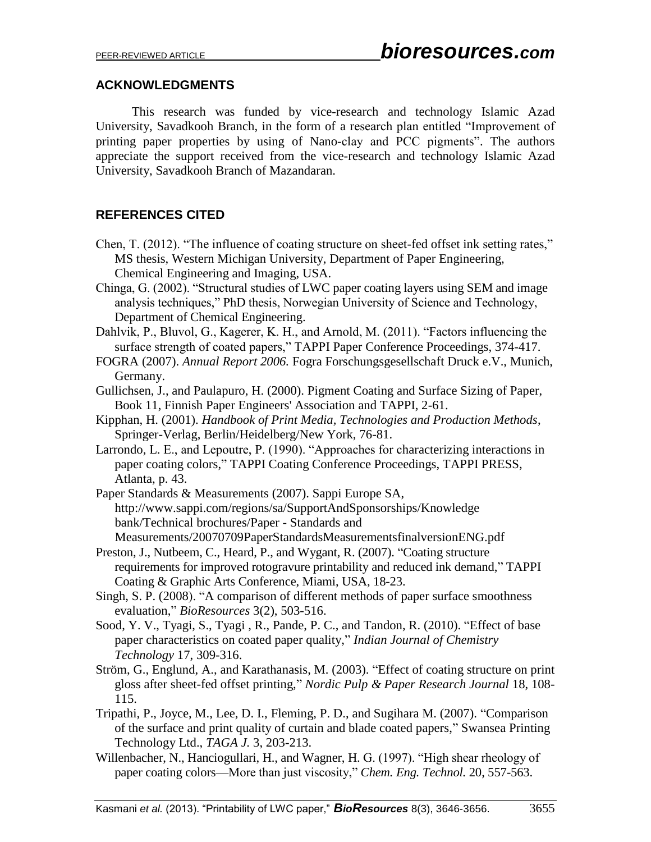### **ACKNOWLEDGMENTS**

This research was funded by vice-research and technology Islamic Azad University, Savadkooh Branch, in the form of a research plan entitled "Improvement of printing paper properties by using of Nano-clay and PCC pigments". The authors appreciate the support received from the vice-research and technology Islamic Azad University, Savadkooh Branch of Mazandaran.

# **REFERENCES CITED**

- Chen, T. (2012). "The influence of coating structure on sheet-fed offset ink setting rates," MS thesis, Western Michigan University, Department of Paper Engineering, Chemical Engineering and Imaging, USA.
- Chinga, G. (2002). "Structural studies of LWC paper coating layers using SEM and image analysis techniques," PhD thesis, Norwegian University of Science and Technology, Department of Chemical Engineering.
- Dahlvik, P., Bluvol, G., Kagerer, K. H., and Arnold, M. (2011). "Factors influencing the surface strength of coated papers," TAPPI Paper Conference Proceedings, 374-417.
- FOGRA (2007). *Annual Report 2006.* Fogra Forschungsgesellschaft Druck e.V., Munich, Germany.
- Gullichsen, J., and Paulapuro, H. (2000). Pigment Coating and Surface Sizing of Paper, Book 11, Finnish Paper Engineers' Association and TAPPI, 2-61.
- Kipphan, H. (2001). *Handbook of Print Media, Technologies and Production Methods*, Springer-Verlag, Berlin/Heidelberg/New York, 76-81.
- Larrondo, L. E., and Lepoutre, P. (1990). "Approaches for characterizing interactions in paper coating colors," TAPPI Coating Conference Proceedings, TAPPI PRESS, Atlanta, p. 43.
- Paper Standards & Measurements (2007). Sappi Europe SA, http://www.sappi.com/regions/sa/SupportAndSponsorships/Knowledge bank/Technical brochures/Paper - Standards and Measurements/20070709PaperStandardsMeasurementsfinalversionENG.pdf
- Preston, J., Nutbeem, C., Heard, P., and Wygant, R. (2007). "Coating structure requirements for improved rotogravure printability and reduced ink demand," TAPPI Coating & Graphic Arts Conference, Miami, USA, 18-23.
- Singh, S. P. (2008). "A comparison of different methods of paper surface smoothness evaluation," *BioResources* 3(2), 503-516.
- Sood, Y. V., Tyagi, S., Tyagi , R., Pande, P. C., and Tandon, R. (2010). "Effect of base paper characteristics on coated paper quality," *Indian Journal of Chemistry Technology* 17, 309-316.
- Ström, G., Englund, A., and Karathanasis, M. (2003). "Effect of coating structure on print gloss after sheet-fed offset printing," *Nordic Pulp & Paper Research Journal* 18, 108- 115.
- Tripathi, P., Joyce, M., Lee, D. I., Fleming, P. D., and Sugihara M. (2007). "Comparison of the surface and print quality of curtain and blade coated papers," Swansea Printing Technology Ltd., *TAGA J.* 3, 203-213.
- Willenbacher, N., Hanciogullari, H., and Wagner, H. G. (1997). "High shear rheology of paper coating colors—More than just viscosity," *Chem. Eng. Technol.* 20, 557-563.